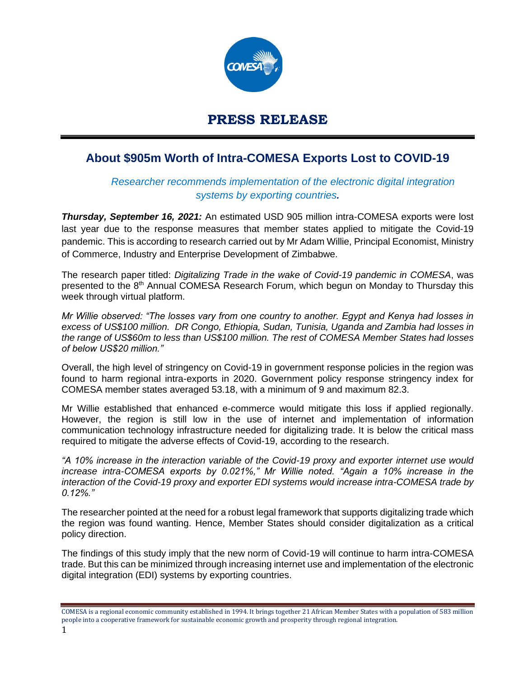

## **PRESS RELEASE**

## **About \$905m Worth of Intra-COMESA Exports Lost to COVID-19**

## *Researcher recommends implementation of the electronic digital integration systems by exporting countries.*

*Thursday, September 16, 2021:* An estimated USD 905 million intra-COMESA exports were lost last year due to the response measures that member states applied to mitigate the Covid-19 pandemic. This is according to research carried out by Mr Adam Willie, Principal Economist, Ministry of Commerce, Industry and Enterprise Development of Zimbabwe.

The research paper titled: *Digitalizing Trade in the wake of Covid-19 pandemic in COMESA*, was presented to the 8th Annual COMESA Research Forum, which begun on Monday to Thursday this week through virtual platform.

*Mr Willie observed: "The losses vary from one country to another. Egypt and Kenya had losses in excess of US\$100 million. DR Congo, Ethiopia, Sudan, Tunisia, Uganda and Zambia had losses in the range of US\$60m to less than US\$100 million. The rest of COMESA Member States had losses of below US\$20 million."*

Overall, the high level of stringency on Covid-19 in government response policies in the region was found to harm regional intra-exports in 2020. Government policy response stringency index for COMESA member states averaged 53.18, with a minimum of 9 and maximum 82.3.

Mr Willie established that enhanced e-commerce would mitigate this loss if applied regionally. However, the region is still low in the use of internet and implementation of information communication technology infrastructure needed for digitalizing trade. It is below the critical mass required to mitigate the adverse effects of Covid-19, according to the research.

*"A 10% increase in the interaction variable of the Covid-19 proxy and exporter internet use would increase intra-COMESA exports by 0.021%," Mr Willie noted. "Again a 10% increase in the interaction of the Covid-19 proxy and exporter EDI systems would increase intra-COMESA trade by 0.12%."*

The researcher pointed at the need for a robust legal framework that supports digitalizing trade which the region was found wanting. Hence, Member States should consider digitalization as a critical policy direction.

The findings of this study imply that the new norm of Covid-19 will continue to harm intra-COMESA trade. But this can be minimized through increasing internet use and implementation of the electronic digital integration (EDI) systems by exporting countries.

COMESA is a regional economic community established in 1994. It brings together 21 African Member States with a population of 583 million people into a cooperative framework for sustainable economic growth and prosperity through regional integration.